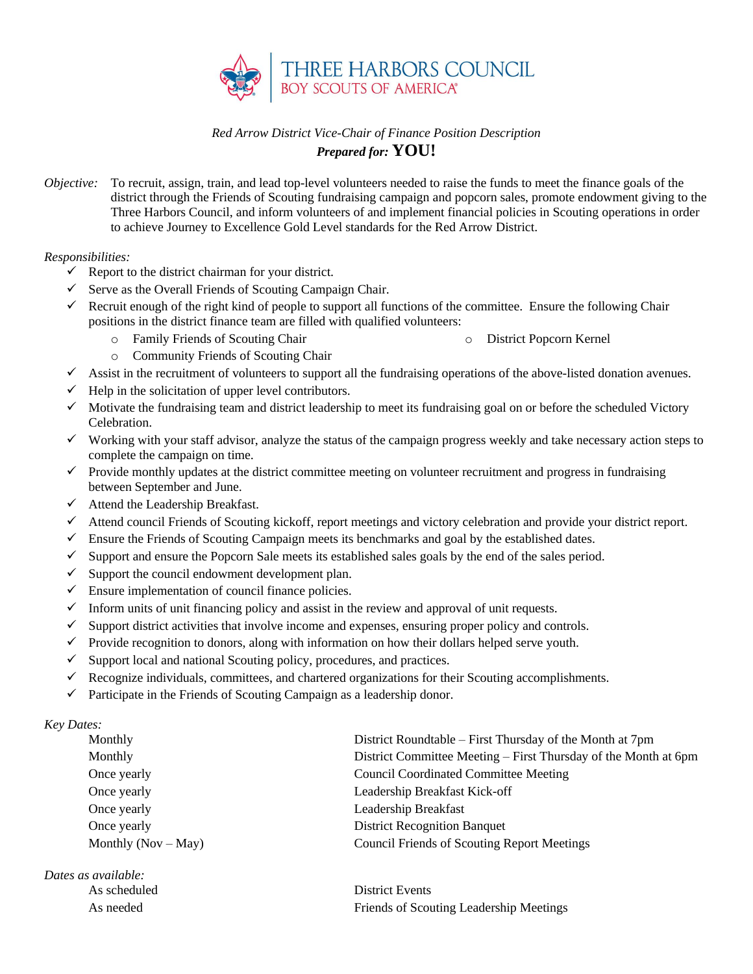

## *Red Arrow District Vice-Chair of Finance Position Description Prepared for:* **YOU!**

*Objective:* To recruit, assign, train, and lead top-level volunteers needed to raise the funds to meet the finance goals of the district through the Friends of Scouting fundraising campaign and popcorn sales, promote endowment giving to the Three Harbors Council, and inform volunteers of and implement financial policies in Scouting operations in order to achieve Journey to Excellence Gold Level standards for the Red Arrow District.

## *Responsibilities:*

- $\checkmark$  Report to the district chairman for your district.
- $\checkmark$  Serve as the Overall Friends of Scouting Campaign Chair.
- $\checkmark$  Recruit enough of the right kind of people to support all functions of the committee. Ensure the following Chair positions in the district finance team are filled with qualified volunteers:
	- o Family Friends of Scouting Chair

o District Popcorn Kernel

- o Community Friends of Scouting Chair
- $\checkmark$  Assist in the recruitment of volunteers to support all the fundraising operations of the above-listed donation avenues.
- Help in the solicitation of upper level contributors.
- $\checkmark$  Motivate the fundraising team and district leadership to meet its fundraising goal on or before the scheduled Victory Celebration.
- $\checkmark$  Working with your staff advisor, analyze the status of the campaign progress weekly and take necessary action steps to complete the campaign on time.
- $\checkmark$  Provide monthly updates at the district committee meeting on volunteer recruitment and progress in fundraising between September and June.
- $\checkmark$  Attend the Leadership Breakfast.
- ✓ Attend council Friends of Scouting kickoff, report meetings and victory celebration and provide your district report.
- $\checkmark$  Ensure the Friends of Scouting Campaign meets its benchmarks and goal by the established dates.
- $\checkmark$  Support and ensure the Popcorn Sale meets its established sales goals by the end of the sales period.
- $\checkmark$  Support the council endowment development plan.
- $\checkmark$  Ensure implementation of council finance policies.
- $\checkmark$  Inform units of unit financing policy and assist in the review and approval of unit requests.
- $\checkmark$  Support district activities that involve income and expenses, ensuring proper policy and controls.
- $\checkmark$  Provide recognition to donors, along with information on how their dollars helped serve youth.
- $\checkmark$  Support local and national Scouting policy, procedures, and practices.
- $\checkmark$  Recognize individuals, committees, and chartered organizations for their Scouting accomplishments.
- $\checkmark$  Participate in the Friends of Scouting Campaign as a leadership donor.

*Key Dates:*

| Monthly               | District Roundtable – First Thursday of the Month at 7pm        |
|-----------------------|-----------------------------------------------------------------|
| Monthly               | District Committee Meeting – First Thursday of the Month at 6pm |
| Once yearly           | <b>Council Coordinated Committee Meeting</b>                    |
| Once yearly           | Leadership Breakfast Kick-off                                   |
| Once yearly           | Leadership Breakfast                                            |
| Once yearly           | <b>District Recognition Banquet</b>                             |
| Monthly $(Nov - May)$ | <b>Council Friends of Scouting Report Meetings</b>              |
|                       |                                                                 |

*Dates as available:* As scheduled District Events

As needed Friends of Scouting Leadership Meetings